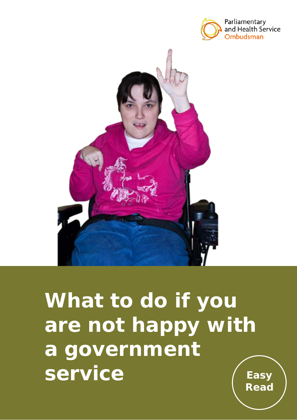



# **What to do if you are not happy with a government service** Easy

**Read**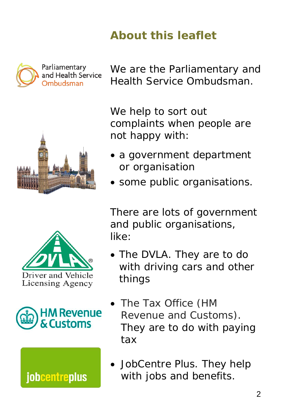## **About this leaflet**









We are the Parliamentary and Health Service Ombudsman.

We help to sort out complaints when people are not happy with:

- a government department or organisation
- some public organisations.

There are lots of government and public organisations, like:

- The DVLA. They are to do with driving cars and other things
- The Tax Office (HM Revenue and Customs). They are to do with paying tax
- JobCentre Plus. They help with jobs and benefits.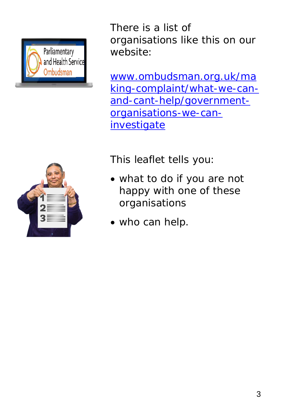



There is a list of organisations like this on our website:

[www.ombudsman.org.uk/ma](http://www.ombudsman.org.uk/making-complaint/what-we-can-and-cant-help/government-organisations-we-can-investigate) [king-complaint/what-we-can](http://www.ombudsman.org.uk/making-complaint/what-we-can-and-cant-help/government-organisations-we-can-investigate)[and-cant-help/government](http://www.ombudsman.org.uk/making-complaint/what-we-can-and-cant-help/government-organisations-we-can-investigate)[organisations-we-can](http://www.ombudsman.org.uk/making-complaint/what-we-can-and-cant-help/government-organisations-we-can-investigate)**[investigate](http://www.ombudsman.org.uk/making-complaint/what-we-can-and-cant-help/government-organisations-we-can-investigate)** 

This leaflet tells you:

- what to do if you are not happy with one of these organisations
- who can help.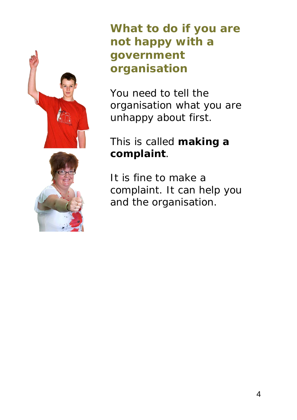

#### **What to do if you are not happy with a government organisation**

You need to tell the organisation what you are unhappy about first.

#### This is called **making a complaint**.

It is fine to make a complaint. It can help you and the organisation.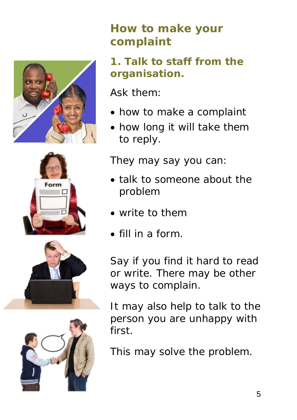







## **How to make your complaint**

#### **1. Talk to staff from the organisation.**

Ask them:

- how to make a complaint
- how long it will take them to reply.

They may say you can:

- talk to someone about the problem
- write to them
- fill in a form.

Say if you find it hard to read or write. There may be other ways to complain.

It may also help to talk to the person you are unhappy with first.

This may solve the problem.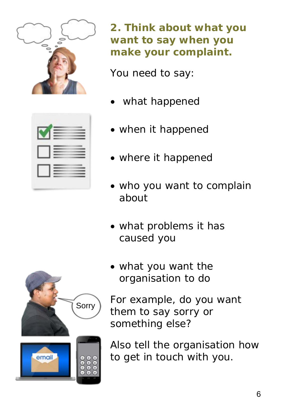

**2. Think about what you want to say when you make your complaint.** 

You need to say:

- what happened
- when it happened
- where it happened
- who you want to complain about
- what problems it has caused you
- what you want the organisation to do

For example, do you want them to say sorry or something else?

Also tell the organisation how to get in touch with you.

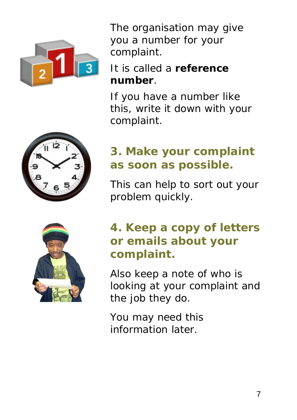

The organisation may give you a number for your complaint.

#### It is called a **reference number**.

If you have a number like this, write it down with your complaint.



## **3. Make your complaint as soon as possible.**

This can help to sort out your problem quickly.

## **4. Keep a copy of letters or emails about your complaint.**

Also keep a note of who is looking at your complaint and the job they do.

You may need this information later.

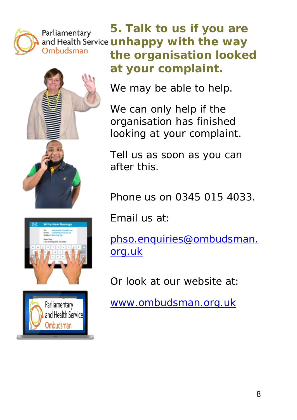

**5. Talk to us if you are**  Parliamentary and Health Service **unhappy with the way** Ombudsman **the organisation looked at your complaint.**







We may be able to help.

We can only help if the organisation has finished looking at your complaint.

Tell us as soon as you can after this.

Phone us on 0345 015 4033.

Email us at:

[phso.enquiries@ombudsman.](mailto:phso.enquiries@ombudsman.org.uk) [org.uk](mailto:phso.enquiries@ombudsman.org.uk)

Or look at our website at:

[www.ombudsman.org.uk](http://www.ombudsman.org.uk/)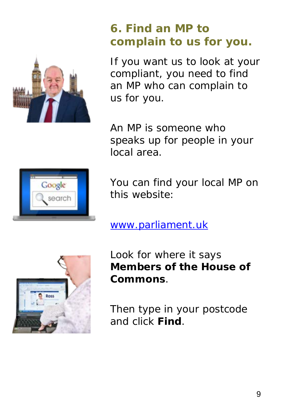

## **6. Find an MP to complain to us for you.**

If you want us to look at your compliant, you need to find an MP who can complain to us for you.

An MP is someone who speaks up for people in your local area.



You can find your local MP on this website:

[www.parliament.uk](http://www.parliament.uk/)



Look for where it says **Members of the House of Commons**.

Then type in your postcode and click **Find**.